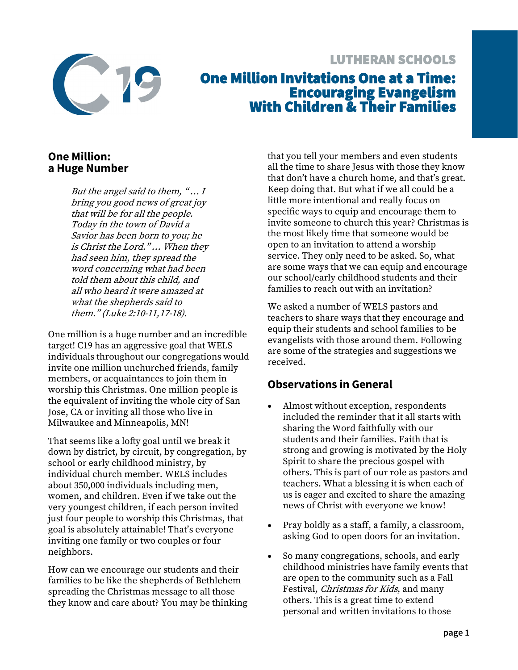

# LUTHERAN SCHOOLS One Million Invitations One at a Time: Encouraging Evangelism With Children & Their Families

#### **One Million: a Huge Number**

But the angel said to them,  $\lq$ ... I bring you good news of great joy that will be for all the people. Today in the town of David a Savior has been born to you; he is Christ the Lord." … When they had seen him, they spread the word concerning what had been told them about this child, and all who heard it were amazed at what the shepherds said to them." (Luke 2:10-11,17-18).

One million is a huge number and an incredible target! C19 has an aggressive goal that WELS individuals throughout our congregations would invite one million unchurched friends, family members, or acquaintances to join them in worship this Christmas. One million people is the equivalent of inviting the whole city of San Jose, CA or inviting all those who live in Milwaukee and Minneapolis, MN!

That seems like a lofty goal until we break it down by district, by circuit, by congregation, by school or early childhood ministry, by individual church member. WELS includes about 350,000 individuals including men, women, and children. Even if we take out the very youngest children, if each person invited just four people to worship this Christmas, that goal is absolutely attainable! That's everyone inviting one family or two couples or four neighbors.

How can we encourage our students and their families to be like the shepherds of Bethlehem spreading the Christmas message to all those they know and care about? You may be thinking that you tell your members and even students all the time to share Jesus with those they know that don't have a church home, and that's great. Keep doing that. But what if we all could be a little more intentional and really focus on specific ways to equip and encourage them to invite someone to church this year? Christmas is the most likely time that someone would be open to an invitation to attend a worship service. They only need to be asked. So, what are some ways that we can equip and encourage our school/early childhood students and their families to reach out with an invitation?

We asked a number of WELS pastors and teachers to share ways that they encourage and equip their students and school families to be evangelists with those around them. Following are some of the strategies and suggestions we received.

## **Observations in General**

- Almost without exception, respondents included the reminder that it all starts with sharing the Word faithfully with our students and their families. Faith that is strong and growing is motivated by the Holy Spirit to share the precious gospel with others. This is part of our role as pastors and teachers. What a blessing it is when each of us is eager and excited to share the amazing news of Christ with everyone we know!
- Pray boldly as a staff, a family, a classroom, asking God to open doors for an invitation.
- So many congregations, schools, and early childhood ministries have family events that are open to the community such as a Fall Festival, *Christmas for Kids*, and many others. This is a great time to extend personal and written invitations to those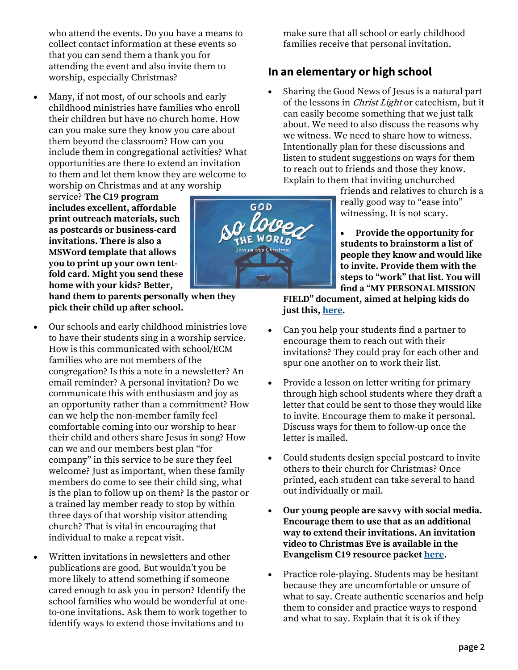who attend the events. Do you have a means to collect contact information at these events so that you can send them a thank you for attending the event and also invite them to worship, especially Christmas?

• Many, if not most, of our schools and early childhood ministries have families who enroll their children but have no church home. How can you make sure they know you care about them beyond the classroom? How can you include them in congregational activities? What opportunities are there to extend an invitation to them and let them know they are welcome to worship on Christmas and at any worship

service? **The C19 program includes excellent, affordable print outreach materials, such as postcards or business-card invitations. There is also a MSWord template that allows you to print up your own tentfold card. Might you send these home with your kids? Better,** 

**hand them to parents personally when they pick their child up after school.**

- Our schools and early childhood ministries love to have their students sing in a worship service. How is this communicated with school/ECM families who are not members of the congregation? Is this a note in a newsletter? An email reminder? A personal invitation? Do we communicate this with enthusiasm and joy as an opportunity rather than a commitment? How can we help the non-member family feel comfortable coming into our worship to hear their child and others share Jesus in song? How can we and our members best plan "for company" in this service to be sure they feel welcome? Just as important, when these family members do come to see their child sing, what is the plan to follow up on them? Is the pastor or a trained lay member ready to stop by within three days of that worship visitor attending church? That is vital in encouraging that individual to make a repeat visit.
- Written invitations in newsletters and other publications are good. But wouldn't you be more likely to attend something if someone cared enough to ask you in person? Identify the school families who would be wonderful at oneto-one invitations. Ask them to work together to identify ways to extend those invitations and to



make sure that all school or early childhood families receive that personal invitation.

#### **In an elementary or high school**

• Sharing the Good News of Jesus is a natural part of the lessons in *Christ Light* or catechism, but it can easily become something that we just talk about. We need to also discuss the reasons why we witness. We need to share how to witness. Intentionally plan for these discussions and listen to student suggestions on ways for them to reach out to friends and those they know. Explain to them that inviting unchurched

friends and relatives to church is a really good way to "ease into" witnessing. It is not scary.

• **Provide the opportunity for students to brainstorm a list of people they know and would like to invite. Provide them with the steps to "work" that list. You will find a "MY PERSONAL MISSION** 

**FIELD" document, aimed at helping kids do just this, [here.](https://welscongregationalservices.net/c19/)**

- Can you help your students find a partner to encourage them to reach out with their invitations? They could pray for each other and spur one another on to work their list.
- Provide a lesson on letter writing for primary through high school students where they draft a letter that could be sent to those they would like to invite. Encourage them to make it personal. Discuss ways for them to follow-up once the letter is mailed.
- Could students design special postcard to invite others to their church for Christmas? Once printed, each student can take several to hand out individually or mail.
- **Our young people are savvy with social media. Encourage them to use that as an additional way to extend their invitations. An invitation video to Christmas Eve is available in the Evangelism C19 resource packet [here.](https://welscongregationalservices.net/c19/)**
- Practice role-playing. Students may be hesitant because they are uncomfortable or unsure of what to say. Create authentic scenarios and help them to consider and practice ways to respond and what to say. Explain that it is ok if they